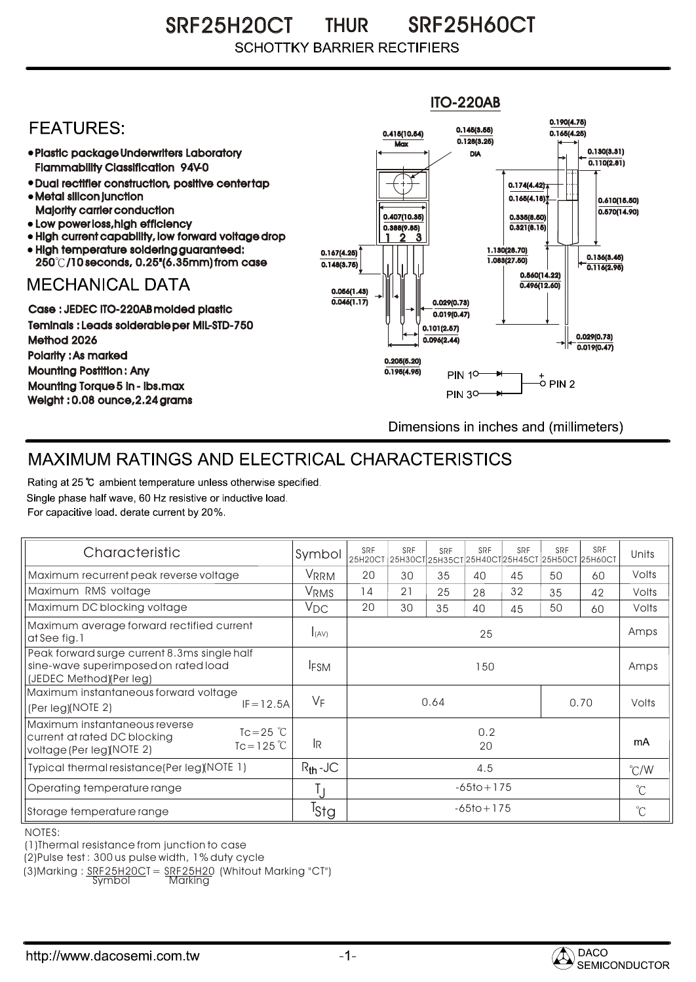SRF25H20CT THUR SRF25H60CT THUR **SCHOTTKY BARRIER RECTIFIERS** 



## MAXIMUM RATINGS AND ELECTRICAL CHARACTERISTICS

Rating at 25 °C ambient temperature unless otherwise specified. Single phase half wave, 60 Hz resistive or inductive load. For capacitive load, derate current by 20%.

| Characteristic                                                                                                                             | Symbol           | SRF            | SRF | SRF | SRF | SRF<br>25H20CT 25H30CT 25H35CT 25H40CT 25H45CT 25H50CT 25H60CT | SRF | SRF   | Units         |
|--------------------------------------------------------------------------------------------------------------------------------------------|------------------|----------------|-----|-----|-----|----------------------------------------------------------------|-----|-------|---------------|
| Maximum recurrent peak reverse voltage                                                                                                     | VRRM             | 20             | 30  | 35  | 40  | 45                                                             | 50  | 60    | Volts         |
| Maximum RMS voltage                                                                                                                        | V <sub>RMS</sub> | 14             | 21  | 25  | 28  | 32                                                             | 35  | 42    | Volts         |
| Maximum DC blocking voltage                                                                                                                | $V_{DC}$         | 20             | 30  | 35  | 40  | 45                                                             | 50  | 60    | Volts         |
| Maximum average forward rectified current<br>at See fig. 1                                                                                 | I(AV)            | 25             |     |     |     |                                                                |     |       | Amps          |
| Peak forward surge current 8.3ms single half<br>sine-wave superimposed on rated load<br>(JEDEC Method)(Per leg)                            | <b>IFSM</b>      | 150            |     |     |     |                                                                |     |       | Amps          |
| Maximum instantaneous forward voltage<br>$IF = 12.5A$<br>(Per leg)(NOTE 2)                                                                 | $V_F$            | 0.64<br>0.70   |     |     |     |                                                                |     | Volts |               |
| Maximum instantaneous reverse<br>$Tc = 25$ $\degree$ C<br>current at rated DC blocking<br>$Tc = 125^{\circ}C$<br>voltage (Per leg)(NOTE 2) | l <sub>R</sub>   | 0.2<br>20      |     |     |     |                                                                |     |       | mA            |
| Typical thermal resistance (Per leg) (NOTE 1)                                                                                              | $R_{th}$ -JC     | 4.5            |     |     |     |                                                                |     |       | $\degree$ C/W |
| Operating temperature range                                                                                                                |                  | $-65$ to + 175 |     |     |     |                                                                |     |       | $^{\circ}$ C  |
| Storage temperature range                                                                                                                  | <sup>I</sup> Stg | $-65$ to + 175 |     |     |     |                                                                |     |       | $^{\circ}$ C  |

NOTES:

(1)Thermal resistance from junction to case

(2)Pulse test : 300 us pulse width, 1% duty cycle

(3) Marking :  $\frac{SRF25H20C}{Symb0}$  =  $\frac{SRF25H20}{Markina}$  (Whitout Marking "CT")

<u>Marking</u>